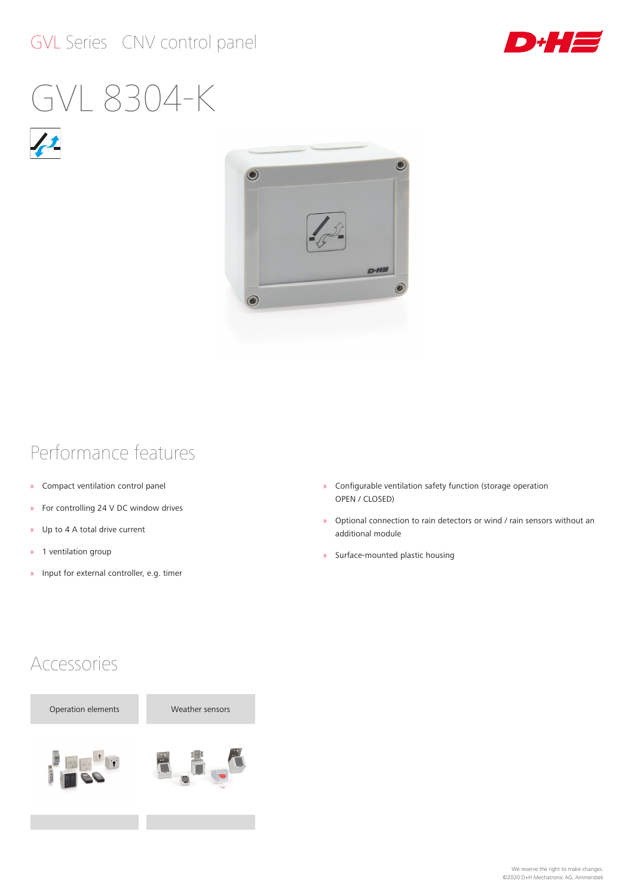#### GVL Series CNV control panel



# GVL 8304-K



#### Performance features

- » Compact ventilation control panel
- » For controlling 24 V DC window drives
- » Up to 4 A total drive current
- » 1 ventilation group
- » Input for external controller, e.g. timer
- » Configurable ventilation safety function (storage operation OPEN / CLOSED)
- » Optional connection to rain detectors or wind / rain sensors without an additional module
- » Surface‑mounted plastic housing

#### Accessories

Operation elements Weather sensors